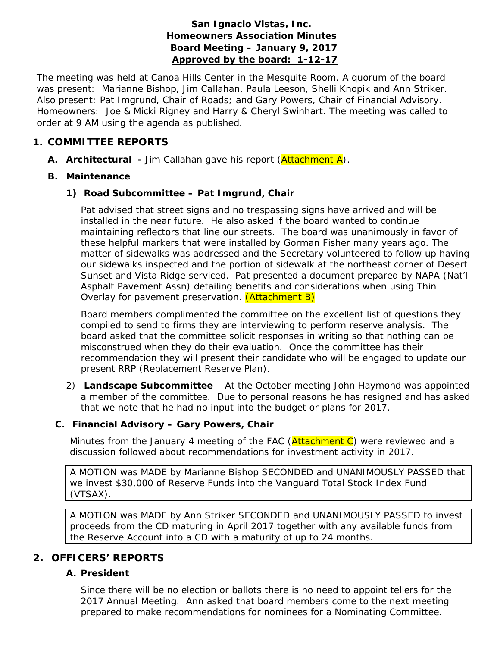## **San Ignacio Vistas, Inc. Homeowners Association Minutes Board Meeting – January 9, 2017 Approved by the board: 1-12-17**

The meeting was held at Canoa Hills Center in the Mesquite Room. A quorum of the board was present: Marianne Bishop, Jim Callahan, Paula Leeson, Shelli Knopik and Ann Striker. Also present: Pat Imgrund, Chair of Roads; and Gary Powers, Chair of Financial Advisory. Homeowners: Joe & Micki Rigney and Harry & Cheryl Swinhart. The meeting was called to order at 9 AM using the agenda as published.

## **1. COMMITTEE REPORTS**

**A. Architectural -** Jim Callahan gave his report (Attachment A).

## **B. Maintenance**

## **1) Road Subcommittee – Pat Imgrund, Chair**

Pat advised that street signs and no trespassing signs have arrived and will be installed in the near future. He also asked if the board wanted to continue maintaining reflectors that line our streets. The board was unanimously in favor of these helpful markers that were installed by Gorman Fisher many years ago. The matter of sidewalks was addressed and the Secretary volunteered to follow up having our sidewalks inspected and the portion of sidewalk at the northeast corner of Desert Sunset and Vista Ridge serviced. Pat presented a document prepared by NAPA (Nat'l Asphalt Pavement Assn) detailing benefits and considerations when using Thin Overlay for pavement preservation. (Attachment B)

Board members complimented the committee on the excellent list of questions they compiled to send to firms they are interviewing to perform reserve analysis. The board asked that the committee solicit responses in writing so that nothing can be misconstrued when they do their evaluation. Once the committee has their recommendation they will present their candidate who will be engaged to update our present RRP (Replacement Reserve Plan).

2) **Landscape Subcommittee** – At the October meeting John Haymond was appointed a member of the committee. Due to personal reasons he has resigned and has asked that we note that he had no input into the budget or plans for 2017.

## **C. Financial Advisory – Gary Powers, Chair**

Minutes from the January 4 meeting of the FAC (**Attachment C**) were reviewed and a discussion followed about recommendations for investment activity in 2017.

A MOTION was MADE by Marianne Bishop SECONDED and UNANIMOUSLY PASSED that we invest \$30,000 of Reserve Funds into the Vanguard Total Stock Index Fund (VTSAX).

A MOTION was MADE by Ann Striker SECONDED and UNANIMOUSLY PASSED to invest proceeds from the CD maturing in April 2017 together with any available funds from the Reserve Account into a CD with a maturity of up to 24 months.

## **2. OFFICERS' REPORTS**

## **A. President**

Since there will be no election or ballots there is no need to appoint tellers for the 2017 Annual Meeting. Ann asked that board members come to the next meeting prepared to make recommendations for nominees for a Nominating Committee.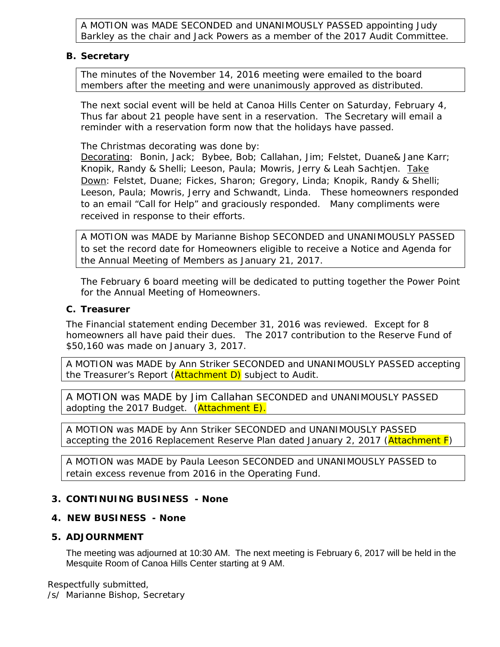A MOTION was MADE SECONDED and UNANIMOUSLY PASSED appointing Judy Barkley as the chair and Jack Powers as a member of the 2017 Audit Committee.

## **B. Secretary**

The minutes of the November 14, 2016 meeting were emailed to the board members after the meeting and were unanimously approved as distributed.

The next social event will be held at Canoa Hills Center on Saturday, February 4, Thus far about 21 people have sent in a reservation. The Secretary will email a reminder with a reservation form now that the holidays have passed.

The Christmas decorating was done by:

Decorating: Bonin, Jack; Bybee, Bob; Callahan, Jim; Felstet, Duane& Jane Karr; Knopik, Randy & Shelli; Leeson, Paula; Mowris, Jerry & Leah Sachtjen. Take Down: Felstet, Duane; Fickes, Sharon; Gregory, Linda; Knopik, Randy & Shelli; Leeson, Paula; Mowris, Jerry and Schwandt, Linda. These homeowners responded to an email "Call for Help" and graciously responded. Many compliments were received in response to their efforts.

A MOTION was MADE by Marianne Bishop SECONDED and UNANIMOUSLY PASSED to set the record date for Homeowners eligible to receive a Notice and Agenda for the Annual Meeting of Members as January 21, 2017.

The February 6 board meeting will be dedicated to putting together the Power Point for the Annual Meeting of Homeowners.

## **C. Treasurer**

The Financial statement ending December 31, 2016 was reviewed. Except for 8 homeowners all have paid their dues. The 2017 contribution to the Reserve Fund of \$50,160 was made on January 3, 2017.

A MOTION was MADE by Ann Striker SECONDED and UNANIMOUSLY PASSED accepting the Treasurer's Report (**Attachment D)** subject to Audit.

A MOTION was MADE by Jim Callahan SECONDED and UNANIMOUSLY PASSED adopting the 2017 Budget. (**Attachment E).** 

A MOTION was MADE by Ann Striker SECONDED and UNANIMOUSLY PASSED accepting the 2016 Replacement Reserve Plan dated January 2, 2017 (**Attachment F**)

A MOTION was MADE by Paula Leeson SECONDED and UNANIMOUSLY PASSED to retain excess revenue from 2016 in the Operating Fund.

## **3. CONTINUING BUSINESS - None**

## **4. NEW BUSINESS - None**

## **5. ADJOURNMENT**

The meeting was adjourned at 10:30 AM. The next meeting is February 6, 2017 will be held in the Mesquite Room of Canoa Hills Center starting at 9 AM.

Respectfully submitted, /s/ Marianne Bishop, Secretary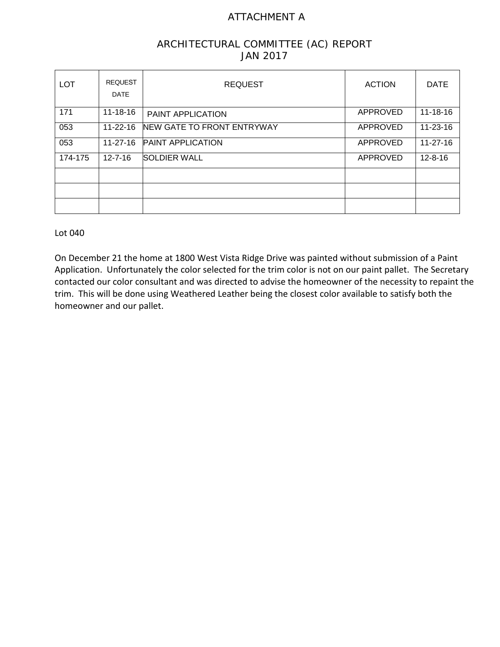## ATTACHMENT A

## ARCHITECTURAL COMMITTEE (AC) REPORT JAN 2017

| <b>LOT</b> | <b>REQUEST</b><br><b>DATE</b> | <b>REQUEST</b>             | <b>ACTION</b> | <b>DATE</b>    |
|------------|-------------------------------|----------------------------|---------------|----------------|
| 171        | $11 - 18 - 16$                | <b>PAINT APPLICATION</b>   | APPROVED      | $11 - 18 - 16$ |
| 053        | $11 - 22 - 16$                | NEW GATE TO FRONT ENTRYWAY | APPROVED      | $11 - 23 - 16$ |
| 053        | 11-27-16                      | <b>PAINT APPLICATION</b>   | APPROVED      | $11 - 27 - 16$ |
| 174-175    | $12 - 7 - 16$                 | <b>SOLDIER WALL</b>        | APPROVED      | $12 - 8 - 16$  |
|            |                               |                            |               |                |
|            |                               |                            |               |                |
|            |                               |                            |               |                |

#### Lot 040

On December 21 the home at 1800 West Vista Ridge Drive was painted without submission of a Paint Application. Unfortunately the color selected for the trim color is not on our paint pallet. The Secretary contacted our color consultant and was directed to advise the homeowner of the necessity to repaint the trim. This will be done using Weathered Leather being the closest color available to satisfy both the homeowner and our pallet.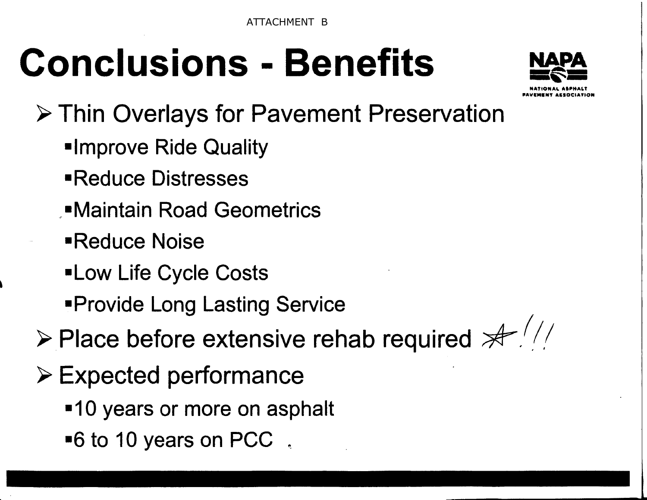# **Conclusions**  - Benefits



**lllollf40M,t,1. ;!ilill'ltAU IIAll't"M.NT A.ISOClollYION** 

Thin Overlays for Pavement Preservation •Improve Ride Quality •Reduce Distresses \_,•Maintain Road Geometrics •Reduce Noise •Low Life Cycle Costs •Provide Long Lasting Service **≻ Place before extensive rehab required**   $\frac{1}{2}$  ///  $\triangleright$  Expected performance **•10 years or more on asphalt** •6 to 10 years on PCC.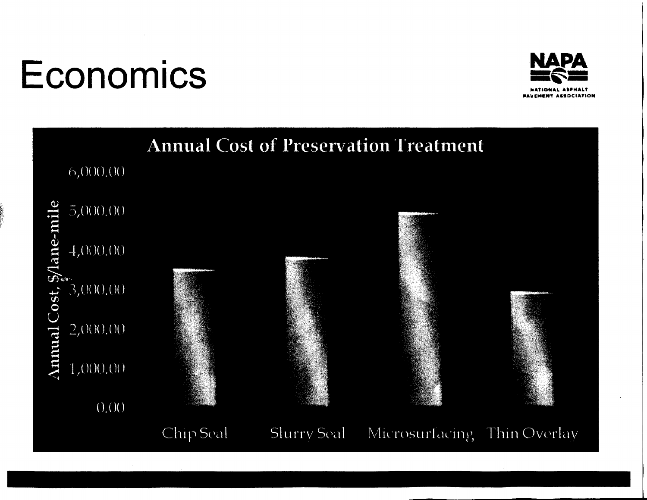# Economics



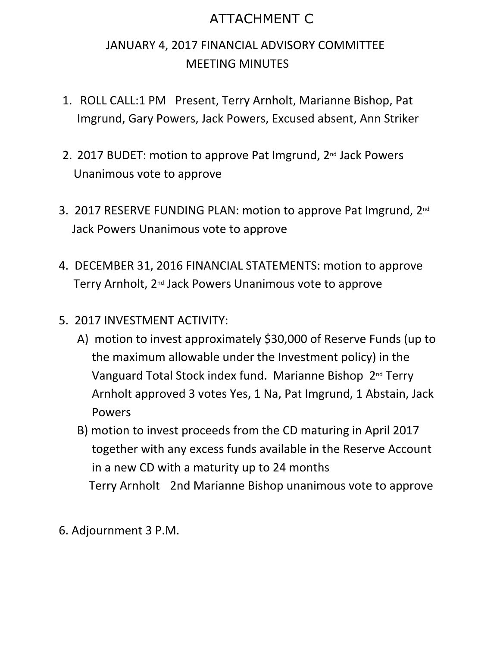## ATTACHMENT C

## JANUARY 4, 2017 FINANCIAL ADVISORY COMMITTEE MEETING MINUTES

- ATTACHMENT C<br>
1. ANUARY 4, 2017 FINANCIAL ADVISORY COMMITTEE<br>
MEETING MINUTES<br>
1. ROLL CALL:1 PM Present, Terry Arnholt, Marianne Bishop, Pat<br>
1. Imgrund, Gary Powers, Jack Powers, Excused absent, Ann Striker<br>
2. 2017 BUDE Imgrund, Gary Powers, Jack Powers, Excused absent, Ann Striker ATTACHMENT C<br>
JANUARY 4, 2017 FINANCIAL ADVISORY COMMITTEE<br>
MEETING MINUTES<br>
1. ROLL CALL:1 PM Present, Terry Arnholt, Marianne Bishop, Pat<br>
Imgrund, Gary Powers, Jack Powers, Excused absent, Ann Striker<br>
2. 2017 BUDET: mo
- Unanimous vote to approve
- 3. 2017 RESERVE FUNDING PLAN: motion to approve Pat Imgrund, 2<sup>nd</sup> Jack Powers Unanimous vote to approve
- 1. ROLL CALL:1 PM Present, Terry Arnholt, Marianne Bishop, Pat<br>Imgrund, Gary Powers, Jack Powers, Excused absent, Ann Striker<br>2. 2017 BUDET: motion to approve Pat Imgrund, 2<sup>nd</sup> Jack Powers<br>Unanimous vote to approve<br>3. 201 Terry Arnholt, 2nd Jack Powers Unanimous vote to approve
- 
- 2. 2017 BUDET: motion to approve Pat Imgr<br>
Unanimous vote to approve<br>
3. 2017 RESERVE FUNDING PLAN: motion to<br>
Jack Powers Unanimous vote to approve<br>
4. DECEMBER 31, 2016 FINANCIAL STATEME<br>
Terry Arnholt, 2<sup>nd</sup> Jack Power A) motion to invest approximately \$30,000 of Reserve Funds (up to the maximum allowable under the Investment policy) in the Vanguard Total Stock index fund. Marianne Bishop 2nd Terry Arnholt approved 3 votes Yes, 1 Na, Pat Imgrund, 1 Abstain, Jack Powers A) motion to invest approximate the maximum allowable und Vanguard Total Stock index f<br>Arnholt approved 3 votes Ye<br>Powers<br>B) motion to invest proceeds fr<br>together with any excess fur<br>in a new CD with a maturity<br>Terry Arnho
	- B) motion to invest proceeds from the CD maturing in April 2017 together with any excess funds available in the Reserve Account in a new CD with a maturity up to 24 months Terry Arnholt 2nd Marianne Bishop unanimous vote to approve
-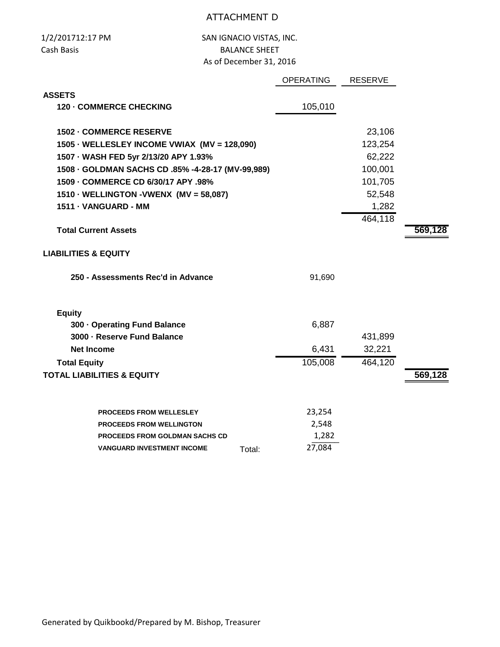## ATTACHMENT D

1/2/201712:17 PM Cash Basis

SAN IGNACIO VISTAS, INC. BALANCE SHEET As of December 31, 2016

|                                                   | <b>OPERATING</b> | <b>RESERVE</b> |         |
|---------------------------------------------------|------------------|----------------|---------|
| <b>ASSETS</b>                                     |                  |                |         |
| <b>120 - COMMERCE CHECKING</b>                    | 105,010          |                |         |
| <b>1502 - COMMERCE RESERVE</b>                    |                  | 23,106         |         |
| 1505 - WELLESLEY INCOME VWIAX (MV = 128,090)      |                  | 123,254        |         |
| 1507 - WASH FED 5yr 2/13/20 APY 1.93%             |                  | 62,222         |         |
| 1508 · GOLDMAN SACHS CD .85% -4-28-17 (MV-99,989) |                  | 100,001        |         |
| 1509 - COMMERCE CD 6/30/17 APY .98%               |                  | 101,705        |         |
| 1510 - WELLINGTON - VWENX (MV = 58,087)           |                  | 52,548         |         |
| 1511 - VANGUARD - MM                              |                  | 1,282          |         |
|                                                   |                  | 464,118        |         |
| <b>Total Current Assets</b>                       |                  |                | 569,128 |
| <b>LIABILITIES &amp; EQUITY</b>                   |                  |                |         |
| 250 - Assessments Rec'd in Advance                | 91,690           |                |         |
| <b>Equity</b>                                     |                  |                |         |
| 300 · Operating Fund Balance                      | 6,887            |                |         |
| 3000 - Reserve Fund Balance                       |                  | 431,899        |         |
| <b>Net Income</b>                                 | 6,431            | 32,221         |         |
| <b>Total Equity</b>                               | 105,008          | 464,120        |         |
| <b>TOTAL LIABILITIES &amp; EQUITY</b>             |                  |                | 569,128 |
|                                                   |                  |                |         |
| <b>PROCEEDS FROM WELLESLEY</b>                    | 23,254           |                |         |
| <b>PROCEEDS FROM WELLINGTON</b>                   | 2,548            |                |         |
| PROCEEDS FROM GOLDMAN SACHS CD                    | 1,282            |                |         |
| <b>VANGUARD INVESTMENT INCOME</b><br>Total:       | 27,084           |                |         |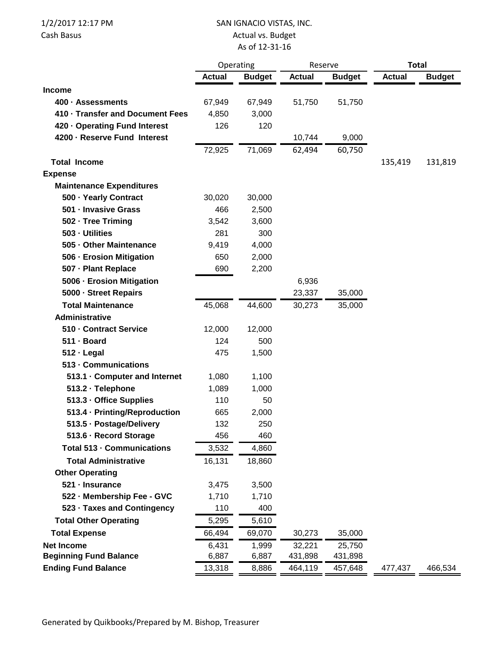1/2/2017 12:17 PM

Cash Basus

## SAN IGNACIO VISTAS, INC. Actual vs. Budget As of 12-31-16

|                                   | Operating     |               | Reserve       |               | <b>Total</b>  |               |
|-----------------------------------|---------------|---------------|---------------|---------------|---------------|---------------|
|                                   | <b>Actual</b> | <b>Budget</b> | <b>Actual</b> | <b>Budget</b> | <b>Actual</b> | <b>Budget</b> |
| <b>Income</b>                     |               |               |               |               |               |               |
| 400 - Assessments                 | 67,949        | 67,949        | 51,750        | 51,750        |               |               |
| 410 · Transfer and Document Fees  | 4,850         | 3,000         |               |               |               |               |
| 420 · Operating Fund Interest     | 126           | 120           |               |               |               |               |
| 4200 - Reserve Fund Interest      |               |               | 10,744        | 9,000         |               |               |
|                                   | 72,925        | 71,069        | 62,494        | 60,750        |               |               |
| <b>Total Income</b>               |               |               |               |               | 135,419       | 131,819       |
| <b>Expense</b>                    |               |               |               |               |               |               |
| <b>Maintenance Expenditures</b>   |               |               |               |               |               |               |
| 500 · Yearly Contract             | 30,020        | 30,000        |               |               |               |               |
| 501 - Invasive Grass              | 466           | 2,500         |               |               |               |               |
| 502 · Tree Triming                | 3,542         | 3,600         |               |               |               |               |
| 503 - Utilities                   | 281           | 300           |               |               |               |               |
| 505 - Other Maintenance           | 9,419         | 4,000         |               |               |               |               |
| 506 - Erosion Mitigation          | 650           | 2,000         |               |               |               |               |
| 507 - Plant Replace               | 690           | 2,200         |               |               |               |               |
| 5006 - Erosion Mitigation         |               |               | 6,936         |               |               |               |
| 5000 - Street Repairs             |               |               | 23,337        | 35,000        |               |               |
| <b>Total Maintenance</b>          | 45,068        | 44,600        | 30,273        | 35,000        |               |               |
| <b>Administrative</b>             |               |               |               |               |               |               |
| 510 - Contract Service            | 12,000        | 12,000        |               |               |               |               |
| 511 · Board                       | 124           | 500           |               |               |               |               |
| $512 -$ Legal                     | 475           | 1,500         |               |               |               |               |
| 513 - Communications              |               |               |               |               |               |               |
| 513.1 Computer and Internet       | 1,080         | 1,100         |               |               |               |               |
| 513.2 · Telephone                 | 1,089         | 1,000         |               |               |               |               |
| 513.3 - Office Supplies           | 110           | 50            |               |               |               |               |
| 513.4 · Printing/Reproduction     | 665           | 2,000         |               |               |               |               |
| 513.5 · Postage/Delivery          | 132           | 250           |               |               |               |               |
| 513.6 - Record Storage            | 456           | 460           |               |               |               |               |
| <b>Total 513 - Communications</b> | 3,532         | 4,860         |               |               |               |               |
| <b>Total Administrative</b>       | 16,131        | 18,860        |               |               |               |               |
| <b>Other Operating</b>            |               |               |               |               |               |               |
| 521 - Insurance                   | 3,475         | 3,500         |               |               |               |               |
| 522 - Membership Fee - GVC        | 1,710         | 1,710         |               |               |               |               |
| 523 - Taxes and Contingency       | 110           | 400           |               |               |               |               |
| <b>Total Other Operating</b>      | 5,295         | 5,610         |               |               |               |               |
| <b>Total Expense</b>              | 66,494        | 69,070        | 30,273        | 35,000        |               |               |
| <b>Net Income</b>                 | 6,431         | 1,999         | 32,221        | 25,750        |               |               |
| <b>Beginning Fund Balance</b>     | 6,887         | 6,887         | 431,898       | 431,898       |               |               |
| <b>Ending Fund Balance</b>        | 13,318        | 8,886         | 464,119       | 457,648       | 477,437       | 466,534       |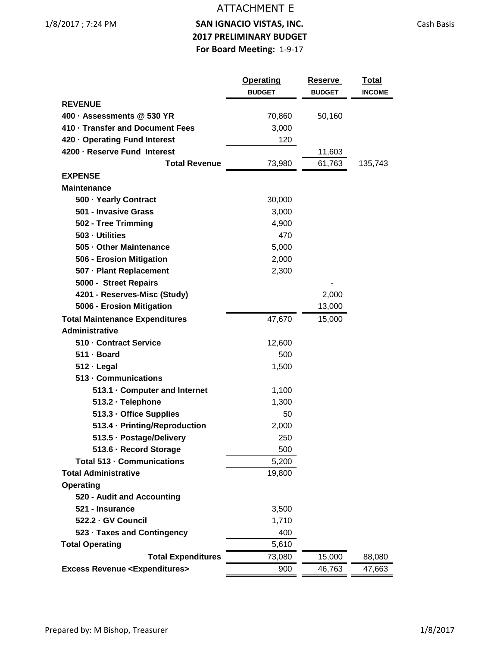## ATTACHMENT E

1/8/2017 ; 7:24 PM **SAN IGNACIO VISTAS, INC. 2017 PRELIMINARY BUDGET For Board Meeting:** 1-9-17

|                                                     | <b>Operating</b><br><b>BUDGET</b> | <b>Reserve</b><br><b>BUDGET</b> | <u>Total</u><br><b>INCOME</b> |
|-----------------------------------------------------|-----------------------------------|---------------------------------|-------------------------------|
| <b>REVENUE</b>                                      |                                   |                                 |                               |
| 400 · Assessments @ 530 YR                          | 70,860                            | 50,160                          |                               |
| 410 · Transfer and Document Fees                    | 3,000                             |                                 |                               |
| 420 · Operating Fund Interest                       | 120                               |                                 |                               |
| 4200 - Reserve Fund Interest                        |                                   | 11,603                          |                               |
| <b>Total Revenue</b>                                | 73,980                            | 61,763                          | 135,743                       |
| <b>EXPENSE</b>                                      |                                   |                                 |                               |
| <b>Maintenance</b>                                  |                                   |                                 |                               |
| 500 · Yearly Contract                               | 30,000                            |                                 |                               |
| 501 - Invasive Grass                                | 3,000                             |                                 |                               |
| 502 - Tree Trimming                                 | 4,900                             |                                 |                               |
| 503 - Utilities                                     | 470                               |                                 |                               |
| 505 - Other Maintenance                             | 5,000                             |                                 |                               |
| 506 - Erosion Mitigation                            | 2,000                             |                                 |                               |
| 507 - Plant Replacement                             | 2,300                             |                                 |                               |
| 5000 - Street Repairs                               |                                   |                                 |                               |
| 4201 - Reserves-Misc (Study)                        |                                   | 2,000                           |                               |
| 5006 - Erosion Mitigation                           |                                   | 13,000                          |                               |
| <b>Total Maintenance Expenditures</b>               | 47,670                            | 15,000                          |                               |
| <b>Administrative</b>                               |                                   |                                 |                               |
| 510 - Contract Service                              | 12,600                            |                                 |                               |
| 511 - Board                                         | 500                               |                                 |                               |
| $512 \cdot$ Legal                                   | 1,500                             |                                 |                               |
| 513 - Communications                                |                                   |                                 |                               |
| 513.1 • Computer and Internet                       | 1,100                             |                                 |                               |
| 513.2 · Telephone                                   | 1,300                             |                                 |                               |
| 513.3 - Office Supplies                             | 50                                |                                 |                               |
| 513.4 · Printing/Reproduction                       | 2,000                             |                                 |                               |
| 513.5 · Postage/Delivery                            | 250                               |                                 |                               |
| 513.6 - Record Storage                              | 500                               |                                 |                               |
| Total 513 - Communications                          | 5,200                             |                                 |                               |
| <b>Total Administrative</b>                         | 19,800                            |                                 |                               |
| <b>Operating</b>                                    |                                   |                                 |                               |
| 520 - Audit and Accounting                          |                                   |                                 |                               |
| 521 - Insurance                                     | 3,500                             |                                 |                               |
| 522.2 · GV Council                                  | 1,710                             |                                 |                               |
| 523 · Taxes and Contingency                         | 400                               |                                 |                               |
| <b>Total Operating</b>                              | 5,610                             |                                 |                               |
| <b>Total Expenditures</b>                           | 73,080                            | 15,000                          | 88,080                        |
| <b>Excess Revenue <expenditures></expenditures></b> | 900                               | 46,763                          | 47,663                        |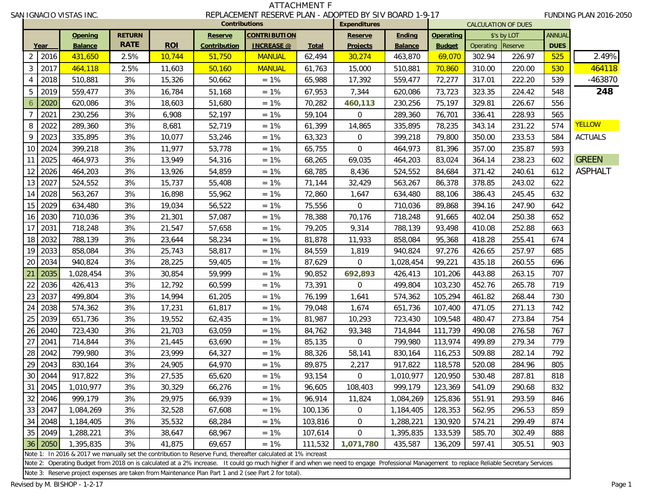|                         | SAN IGNACIO VISTAS INC. |               |        |                      | REPLACEMENT RESERVE PLAN - ADOPTED BY SIV BOARD 1-9-17                                                                                                                                     | <b>ATTACHMENT F</b> |                     |                    |                            |           |             |               | <b>FUNDING PLAN 2016-2050</b> |
|-------------------------|-------------------------|---------------|--------|----------------------|--------------------------------------------------------------------------------------------------------------------------------------------------------------------------------------------|---------------------|---------------------|--------------------|----------------------------|-----------|-------------|---------------|-------------------------------|
|                         |                         |               |        | <b>Contributions</b> |                                                                                                                                                                                            |                     | <b>Expenditures</b> |                    | <b>CALCULATION OF DUES</b> |           |             |               |                               |
|                         | <b>Opening</b>          | <b>RETURN</b> |        | <b>Reserve</b>       | <b>CONTRIBUTION</b>                                                                                                                                                                        |                     | Reserve             | <b>Ending</b>      | Operating                  |           | \$'s by LOT | <b>ANNUAL</b> |                               |
| Year                    | Balance                 | <b>RATE</b>   | ROI    | Contribution         | <b>INCREASE</b> @                                                                                                                                                                          | <b>Total</b>        | Projects            | <b>Balance</b>     | <b>Budget</b>              | Operating | Reserve     | <b>DUES</b>   |                               |
| $\overline{2}$<br>2016  | 431,650                 | 2.5%          | 10,744 | 51,750               | <b>MANUAL</b>                                                                                                                                                                              | 62,494              | 30,274              | 463,870            | 69,070                     | 302.94    | 226.97      | 525           | 2.49%                         |
| 3<br>2017               | 464,118                 | 2.5%          | 11,603 | 50,160               | <b>MANUAL</b>                                                                                                                                                                              | 61,763              | 15,000              | 510,881            | 70,860                     | 310.00    | 220.00      | 530           | 464118                        |
| 2018<br>$\overline{4}$  | 510,881                 | 3%            | 15,326 | 50,662               | $= 1\%$                                                                                                                                                                                    | 65,988              | 17,392              | 559,477            | 72,277                     | 317.01    | 222.20      | 539           | -463870                       |
| 5<br>2019               | 559,477                 | 3%            | 16,784 | 51,168               | $= 1\%$                                                                                                                                                                                    | 67,953              | 7,344               | 620,086            | 73,723                     | 323.35    | 224.42      | 548           | 248                           |
| 2020<br>6               | 620,086                 | 3%            | 18,603 | 51,680               | $= 1\%$                                                                                                                                                                                    | 70,282              | 460,113             | 230,256            | 75,197                     | 329.81    | 226.67      | 556           |                               |
| 2021<br>7               | 230,256                 | $3%$          | 6,908  | 52,197               | $= 1\%$                                                                                                                                                                                    | 59,104              | 0                   | 289,360            | 76,701                     | 336.41    | 228.93      | 565           |                               |
| 2022<br>8               | 289,360                 | 3%            | 8,681  | 52,719               | $= 1\%$                                                                                                                                                                                    | 61,399              | 14,865              | 335,895            | 78,235                     | 343.14    | 231.22      | 574           | <b>YELLOW</b>                 |
| 9<br>2023               | 335,895                 | 3%            | 10,077 | 53,246               | $= 1\%$                                                                                                                                                                                    | 63,323              | 0                   | 399,218            | 79,800                     | 350.00    | 233.53      | 584           | <b>ACTUALS</b>                |
| 10 2024                 | 399,218                 | 3%            | 11,977 | 53,778               | $= 1\%$                                                                                                                                                                                    |                     | 0                   |                    |                            | 357.00    | 235.87      | 593           |                               |
| 2025<br>11              | 464,973                 | 3%            | 13,949 | 54,316               | $= 1\%$                                                                                                                                                                                    | 65,755<br>68,265    | 69,035              | 464,973<br>464,203 | 81,396<br>83,024           | 364.14    | 238.23      | 602           | <b>GREEN</b>                  |
| 2026                    |                         | 3%            |        |                      |                                                                                                                                                                                            |                     |                     |                    |                            |           |             |               | <b>ASPHALT</b>                |
| 12                      | 464,203                 |               | 13,926 | 54,859               | $= 1\%$                                                                                                                                                                                    | 68,785              | 8,436               | 524,552            | 84,684                     | 371.42    | 240.61      | 612           |                               |
| 13 2027                 | 524,552                 | 3%            | 15,737 | 55,408               | $= 1\%$                                                                                                                                                                                    | 71,144              | 32,429              | 563,267            | 86,378                     | 378.85    | 243.02      | 622           |                               |
| 2028<br>14 <sup>1</sup> | 563,267                 | $3%$          | 16,898 | 55,962               | $= 1\%$                                                                                                                                                                                    | 72,860              | 1,647               | 634,480            | 88,106                     | 386.43    | 245.45      | 632           |                               |
| 15 2029                 | 634,480                 | 3%            | 19,034 | 56,522               | $= 1\%$                                                                                                                                                                                    | 75,556              | 0                   | 710,036            | 89,868                     | 394.16    | 247.90      | 642           |                               |
| 16 2030                 | 710,036                 | $3%$          | 21,301 | 57,087               | $= 1\%$                                                                                                                                                                                    | 78,388              | 70,176              | 718,248            | 91,665                     | 402.04    | 250.38      | 652           |                               |
| 2031<br>17              | 718,248                 | 3%            | 21,547 | 57,658               | $= 1\%$                                                                                                                                                                                    | 79,205              | 9,314               | 788,139            | 93,498                     | 410.08    | 252.88      | 663           |                               |
| 18 2032                 | 788,139                 | 3%            | 23,644 | 58,234               | $= 1\%$                                                                                                                                                                                    | 81,878              | 11,933              | 858,084            | 95,368                     | 418.28    | 255.41      | 674           |                               |
| 2033<br>19              | 858,084                 | $3%$          | 25,743 | 58,817               | $= 1\%$                                                                                                                                                                                    | 84,559              | 1,819               | 940,824            | 97,276                     | 426.65    | 257.97      | 685           |                               |
| 20<br>2034              | 940,824                 | 3%            | 28,225 | 59,405               | $= 1\%$                                                                                                                                                                                    | 87,629              | 0                   | 1,028,454          | 99,221                     | 435.18    | 260.55      | 696           |                               |
| 2035<br>21              | 1,028,454               | 3%            | 30,854 | 59,999               | $= 1\%$                                                                                                                                                                                    | 90,852              | 692,893             | 426,413            | 101,206                    | 443.88    | 263.15      | 707           |                               |
| 22<br>2036              | 426,413                 | 3%            | 12,792 | 60,599               | $= 1\%$                                                                                                                                                                                    | 73,391              | 0                   | 499,804            | 103,230                    | 452.76    | 265.78      | 719           |                               |
| 23<br>2037              | 499,804                 | 3%            | 14,994 | 61,205               | $= 1\%$                                                                                                                                                                                    | 76,199              | 1,641               | 574,362            | 105,294                    | 461.82    | 268.44      | 730           |                               |
| 24<br>2038              | 574,362                 | 3%            | 17,231 | 61,817               | $= 1\%$                                                                                                                                                                                    | 79,048              | 1,674               | 651,736            | 107,400                    | 471.05    | 271.13      | 742           |                               |
| 25<br>2039              | 651,736                 | $3%$          | 19,552 | 62,435               | $= 1\%$                                                                                                                                                                                    | 81,987              | 10,293              | 723,430            | 109,548                    | 480.47    | 273.84      | 754           |                               |
| 26<br>2040              | 723,430                 | 3%            | 21,703 | 63,059               | $= 1\%$                                                                                                                                                                                    | 84,762              | 93,348              | 714,844            | 111,739                    | 490.08    | 276.58      | 767           |                               |
| 27<br>2041              | 714,844                 | 3%            | 21,445 | 63,690               | $= 1\%$                                                                                                                                                                                    | 85,135              | $\mathbf 0$         | 799,980            | 113,974                    | 499.89    | 279.34      | 779           |                               |
| 28<br>2042              | 799,980                 | 3%            | 23,999 | 64,327               | $= 1\%$                                                                                                                                                                                    | 88,326              | 58,141              | 830,164            | 116,253                    | 509.88    | 282.14      | 792           |                               |
| 29 2043                 | 830,164                 | 3%            | 24,905 | 64,970               | $= 1\%$                                                                                                                                                                                    | 89,875              | 2,217               | 917,822            | 118,578                    | 520.08    | 284.96      | 805           |                               |
| 30 2044                 | 917,822                 | 3%            | 27,535 | 65,620               | $= 1\%$                                                                                                                                                                                    | 93,154              | 0                   | 1,010,977          | 120,950                    | 530.48    | 287.81      | 818           |                               |
| 31<br>2045              | 1,010,977               | 3%            | 30,329 | 66,276               | $= 1\%$                                                                                                                                                                                    | 96,605              | 108,403             | 999,179            | 123,369                    | 541.09    | 290.68      | 832           |                               |
| 32 2046                 | 999,179                 | 3%            | 29,975 | 66,939               | $= 1\%$                                                                                                                                                                                    | 96,914              | 11,824              | 1,084,269          | 125,836                    | 551.91    | 293.59      | 846           |                               |
| 33 2047                 | 1,084,269               | $3%$          | 32,528 | 67,608               | $= 1\%$                                                                                                                                                                                    | 100,136             | 0                   | 1,184,405          | 128,353                    | 562.95    | 296.53      | 859           |                               |
| 34 2048                 | 1,184,405               | 3%            | 35,532 | 68,284               | $= 1\%$                                                                                                                                                                                    | 103,816             | 0                   | 1,288,221          | 130,920                    | 574.21    | 299.49      | 874           |                               |
| 35 2049                 | 1,288,221               | 3%            | 38,647 | 68,967               | $= 1\%$                                                                                                                                                                                    | 107,614             | 0                   | 1,395,835          | 133,539                    | 585.70    | 302.49      | 888           |                               |
| 2050<br>36              | 1,395,835               | 3%            | 41,875 | 69,657               | $= 1\%$                                                                                                                                                                                    | 111,532             | 1,071,780           | 435,587            | 136,209                    | 597.41    | 305.51      | 903           |                               |
|                         |                         |               |        |                      | Note 1: In 2016 & 2017 we manually set the contribution to Reserve Fund, thereafter calculated at 1% increast                                                                              |                     |                     |                    |                            |           |             |               |                               |
|                         |                         |               |        |                      | Note 2: Operating Budget from 2018 on is calculated at a 2% increase. It could go much higher if and when we need to engage Professional Management to replace Reliable Secretary Services |                     |                     |                    |                            |           |             |               |                               |
|                         |                         |               |        |                      | Note 3: Reserve project expenses are taken from Maintenance Plan Part 1 and 2 (see Part 2 for total).                                                                                      |                     |                     |                    |                            |           |             |               |                               |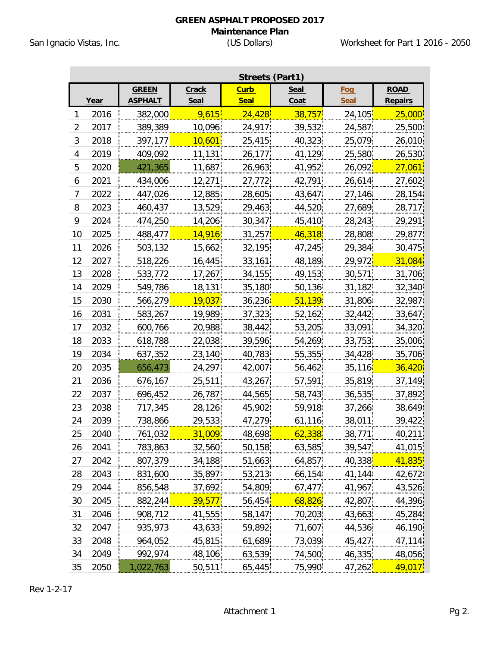## **GREEN ASPHALT PROPOSED 2017**

## **Maintenance Plan**<br>(US Dollars)

San Ignacio Vistas, Inc.

|    | Streets (Part1) |                |                    |             |                     |             |                   |  |  |
|----|-----------------|----------------|--------------------|-------------|---------------------|-------------|-------------------|--|--|
|    |                 | <b>GREEN</b>   | <b>Crack</b>       | <u>Curb</u> | <b>Seal</b>         | <u>Fog</u>  | <b>ROAD</b>       |  |  |
|    | <u>Year</u>     | <b>ASPHALT</b> | <b>Seal</b>        | <b>Seal</b> | Coat                | <b>Seal</b> | Repairs           |  |  |
| 1  | 2016            | 382,000        | 9,615              | 24,428      | 38,757              | 24,105      | 25,000            |  |  |
| 2  | 2017            | 389,389        | 10,096             | 24,917      | 39,532              | 24,587      | 25,500            |  |  |
| 3  | 2018            | 397,177        | 10,601             | 25,415      | 40,323              | 25,079      | 26,010            |  |  |
| 4  | 2019            | 409,092        | 11,131             | 26,177      | 41,129              | 25,580      | 26,530            |  |  |
| 5  | 2020            | 421,365        | 11,687             | 26,963      | 41,952              | 26,092      | 27,061            |  |  |
| 6  | 2021            | 434,006        | 12,271             | 27,772      | 42,791              | 26,614      | 27,602            |  |  |
| 7  | 2022            | 447,026        | 12,885             | 28,605      | 43,647              | 27,146      | 28,154            |  |  |
| 8  | 2023            | 460,437        | 13,529             | 29,463      | 44,520              | 27,689      | 28,717            |  |  |
| 9  | 2024            | 474,250        | 14,206             | 30,347      | 45,410              | 28,243      | 29,291            |  |  |
| 10 | 2025            | 488,477        | 14,916             | 31,257      | 46,318              | 28,808      | 29,877            |  |  |
| 11 | 2026            | 503,132        | 15,662             | 32,195      | 47,245              | 29,384      | 30,475            |  |  |
| 12 | 2027            | 518,226        | 16,445             | 33,161      | 48,189              | 29,972      | 31,084            |  |  |
| 13 | 2028            | 533,772        | 17,267             | 34,155      | 49,153              | 30,571      | 31,706            |  |  |
| 14 | 2029            | 549,786        | 18,131             | 35,180      | 50,136              | 31,182      | 32,340            |  |  |
| 15 | 2030            | 566,279        | 19,037             | 36,236      | 51,139              | 31,806      | 32,987            |  |  |
| 16 | 2031            | 583,267        | 19,989             | 37,323      | 52,162              | 32,442      | 33,647            |  |  |
| 17 | 2032            | 600,766        | 20,988             | 38,442      | 53,205              | 33,091      | 34,320            |  |  |
| 18 | 2033            | 618,788        | 22,038             | 39,596      | 54,269              | 33,753      | 35,006            |  |  |
| 19 | 2034            | 637,352        | 23,140             | 40,783      | 55,355              | 34,428      | 35,706            |  |  |
| 20 | 2035            | 656,473        | 24,297             | 42,007      | 56,462              | 35,116      | 36,420            |  |  |
| 21 | 2036            | 676,167        | 25,511             | 43,267      | 57,591              | 35,819      | 37,149            |  |  |
| 22 | 2037            | 696,452        | 26,787             | 44,565      | 58,743              | 36,535      | 37,892            |  |  |
| 23 | 2038            | 717,345        | 28,126             | 45,902      | 59,918              | 37,266      | 38,649            |  |  |
| 24 | 2039            | 738,866        | 29,533             | 47,279      | 61,116              | 38,011      | 39,422            |  |  |
| 25 | 2040            | 761,032        | $\frac{31,009}{2}$ | 48,698      | <mark>62,338</mark> | 38,771      | 40,211            |  |  |
| 26 | 2041            | 783,863        | 32,560             | 50,158      | 63,585              | 39,547      | 41,015            |  |  |
| 27 | 2042            | 807,379        | 34,188             | 51,663      | 64,857              | 40,338      | $\frac{41,835}{}$ |  |  |
| 28 | 2043            | 831,600        | 35,897             | 53,213      | 66,154              | 41,144      | 42,672            |  |  |
| 29 | 2044            | 856,548        | 37,692             | 54,809      | 67,477              | 41,967      | 43,526            |  |  |
| 30 | 2045            | 882,244        | 39,577             | 56,454      | 68,826              | 42,807      | 44,396            |  |  |
| 31 | 2046            | 908,712        | 41,555             | 58,147      | 70,203              | 43,663      | 45,284            |  |  |
| 32 | 2047            | 935,973        | 43,633             | 59,892      | 71,607              | 44,536      | 46,190            |  |  |
| 33 | 2048            | 964,052        | 45,815             | 61,689      | 73,039              | 45,427      | 47,114            |  |  |
| 34 | 2049            | 992,974        | 48,106             | 63,539      | 74,500              | 46,335      | 48,056            |  |  |
| 35 | 2050            | 1,022,763      | 50,511             | 65,445      | 75,990              | 47,262      | 49,017            |  |  |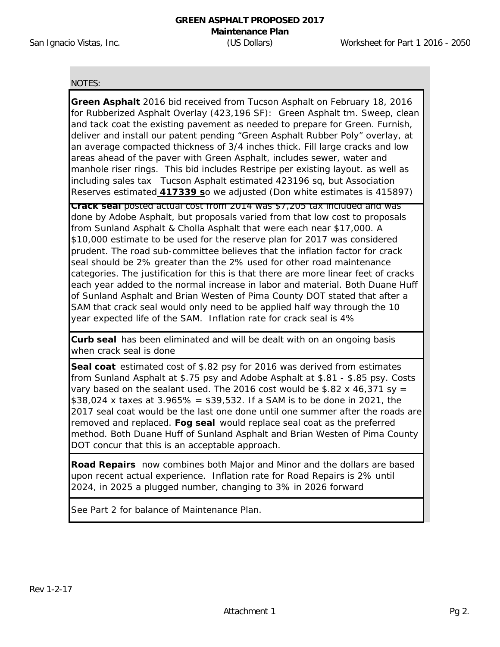San Ignacio Vistas, Inc.

#### NOTES:

**Green Asphalt** 2016 bid received from Tucson Asphalt on February 18, 2016 for Rubberized Asphalt Overlay (423,196 SF): Green Asphalt tm. Sweep, clean and tack coat the existing pavement as needed to prepare for Green. Furnish, deliver and install our patent pending "Green Asphalt Rubber Poly" overlay, at an average compacted thickness of 3/4 inches thick. Fill large cracks and low areas ahead of the paver with Green Asphalt, includes sewer, water and manhole riser rings. This bid includes Restripe per existing layout. as well as including sales tax Tucson Asphalt estimated 423196 sq, but Association Reserves estimated **417339 s**o we adjusted (Don white estimates is 415897)

**Crack seal** posted actual cost from 2014 was \$7,205 tax included and was done by Adobe Asphalt, but proposals varied from that low cost to proposals from Sunland Asphalt & Cholla Asphalt that were each near \$17,000. A \$10,000 estimate to be used for the reserve plan for 2017 was considered prudent. The road sub-committee believes that the inflation factor for crack seal should be 2% greater than the 2% used for other road maintenance categories. The justification for this is that there are more linear feet of cracks each year added to the normal increase in labor and material. Both Duane Huff of Sunland Asphalt and Brian Westen of Pima County DOT stated that after a SAM that crack seal would only need to be applied half way through the 10 year expected life of the SAM. Inflation rate for crack seal is 4%

*Curb seal has been eliminated and will be dealt with on an ongoing basis when crack seal is done*

**Seal coat** estimated cost of \$.82 psy for 2016 was derived from estimates from Sunland Asphalt at \$.75 psy and Adobe Asphalt at \$.81 - \$.85 psy. Costs vary based on the sealant used. The 2016 cost would be \$.82 x 46,371 sy = \$38,024 x taxes at 3.965% = \$39,532. If a SAM is to be done in 2021, the 2017 seal coat would be the last one done until one summer after the roads are removed and replaced. *Fog seal* would replace seal coat as the preferred method. Both Duane Huff of Sunland Asphalt and Brian Westen of Pima County DOT concur that this is an acceptable approach.

*Road Repairs* now combines both Major and Minor and the dollars are based upon recent actual experience. Inflation rate for Road Repairs is 2% until 2024, in 2025 a plugged number, changing to 3% in 2026 forward

See Part 2 for balance of Maintenance Plan.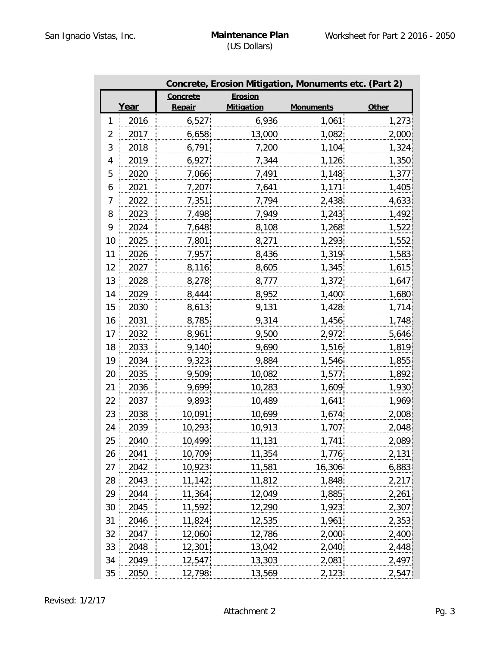| Concrete, Erosion Mitigation, Monuments etc. (Part 2) |      |          |                   |                  |              |  |  |  |  |
|-------------------------------------------------------|------|----------|-------------------|------------------|--------------|--|--|--|--|
|                                                       |      | Concrete | <b>Erosion</b>    |                  |              |  |  |  |  |
|                                                       | Year | Repair   | <b>Mitigation</b> | <b>Monuments</b> | <b>Other</b> |  |  |  |  |
| 1                                                     | 2016 | 6,527    | 6,936             | 1,061            | 1,273        |  |  |  |  |
| 2                                                     | 2017 | 6,658    | 13,000            | 1,082            | 2,000        |  |  |  |  |
| 3                                                     | 2018 | 6,791    | 7,200             | 1,104            | 1,324        |  |  |  |  |
| 4                                                     | 2019 | 6,927    | 7,344             | 1,126            | 1,350        |  |  |  |  |
| 5                                                     | 2020 | 7,066    | 7,491             | 1,148            | 1,377        |  |  |  |  |
| 6                                                     | 2021 | 7,207    | 7,641             | 1,171            | 1,405        |  |  |  |  |
| 7                                                     | 2022 | 7,351    | 7,794             | 2,438            | 4,633        |  |  |  |  |
| 8                                                     | 2023 | 7,498    | 7,949             | 1,243            | 1,492        |  |  |  |  |
| 9                                                     | 2024 | 7,648    | 8,108             | 1,268            | 1,522        |  |  |  |  |
| 10                                                    | 2025 | 7,801    | 8,271             | 1,293            | 1,552        |  |  |  |  |
| 11                                                    | 2026 | 7,957    | 8,436             | 1,319            | 1,583        |  |  |  |  |
| 12                                                    | 2027 | 8,116    | 8,605             | 1,345            | 1,615        |  |  |  |  |
| 13                                                    | 2028 | 8,278    | 8,777             | 1,372            | 1,647        |  |  |  |  |
| 14                                                    | 2029 | 8,444    | 8,952             | 1,400            | 1,680        |  |  |  |  |
| 15                                                    | 2030 | 8,613    | 9,131             | 1,428            | 1,714        |  |  |  |  |
| 16                                                    | 2031 | 8,785    | 9,314             | 1,456            | 1,748        |  |  |  |  |
| 17                                                    | 2032 | 8,961    | 9,500             | 2,972            | 5,646        |  |  |  |  |
| 18                                                    | 2033 | 9,140    | 9,690             | 1,516            | 1,819        |  |  |  |  |
| 19                                                    | 2034 | 9,323    | 9,884             | 1,546            | 1,855        |  |  |  |  |
| 20                                                    | 2035 | 9,509    | 10,082            | 1,577            | 1,892        |  |  |  |  |
| 21                                                    | 2036 | 9,699    | 10,283            | 1,609            | 1,930        |  |  |  |  |
| 22                                                    | 2037 | 9,893    | 10,489            | 1,641            | 1,969        |  |  |  |  |
| 23                                                    | 2038 | 10,091   | 10,699            | 1,674            | 2,008        |  |  |  |  |
| 24                                                    | 2039 | 10,293   | 10,913            | 1,707            | 2,048        |  |  |  |  |
| 25                                                    | 2040 | 10,499   | 11,131            | 1,741            | 2,089        |  |  |  |  |
| 26                                                    | 2041 | 10,709   | 11,354            | 1,776            | 2,131        |  |  |  |  |
| 27                                                    | 2042 | 10,923   | 11,581            | 16,306           | 6,883        |  |  |  |  |
| 28                                                    | 2043 | 11,142   | <u>11,812</u>     | 1,848            | 2,217        |  |  |  |  |
| 29                                                    | 2044 | 11,364   | 12,049            | 1,885            | 2,261        |  |  |  |  |
| 30                                                    | 2045 | 11,592   | 12,290            | 1,923            | 2,307        |  |  |  |  |
| 31                                                    | 2046 | 11,824   | 12,535            | 1,961            | 2,353        |  |  |  |  |
| 32                                                    | 2047 | 12,060   | 12,786            | 2,000            | 2,400        |  |  |  |  |
| 33                                                    | 2048 | 12,301   | 13,042            | 2,040            | 2,448        |  |  |  |  |
| 34                                                    | 2049 | 12,547   | 13,303            | 2,081            | 2,497        |  |  |  |  |
| 35                                                    | 2050 | 12,798   | 13,569            | 2,123            | 2,547        |  |  |  |  |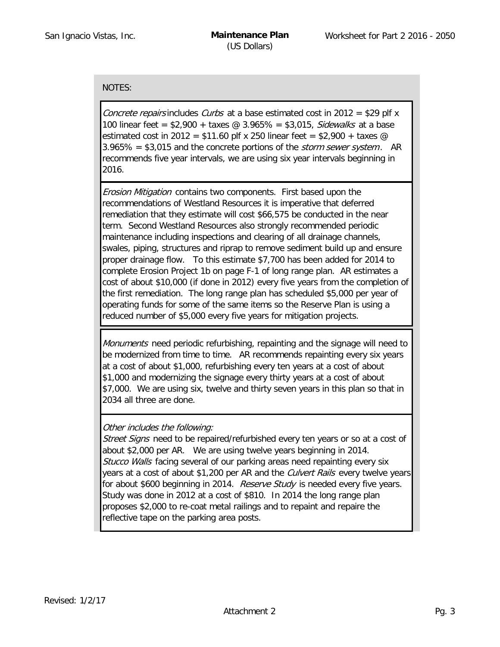## NOTES:

Concrete repairs includes Curbs at a base estimated cost in 2012 = \$29 plf x 100 linear feet =  $$2,900 + \text{ taxes} \ @ \ 3.965\% = $3,015, \text{ Sidewalks} \ \text{at a base}$ estimated cost in 2012 = \$11.60 plf x 250 linear feet = \$2,900 + taxes  $\oslash$  $3.965\% = $3,015$  and the concrete portions of the *storm sewer system*. AR recommends five year intervals, we are using six year intervals beginning in 2016.

Erosion Mitigation contains two components. First based upon the recommendations of Westland Resources it is imperative that deferred remediation that they estimate will cost \$66,575 be conducted in the near term. Second Westland Resources also strongly recommended periodic maintenance including inspections and clearing of all drainage channels, swales, piping, structures and riprap to remove sediment build up and ensure proper drainage flow. To this estimate \$7,700 has been added for 2014 to complete Erosion Project 1b on page F-1 of long range plan. AR estimates a cost of about \$10,000 (if done in 2012) every five years from the completion of the first remediation. The long range plan has scheduled \$5,000 per year of operating funds for some of the same items so the Reserve Plan is using a reduced number of \$5,000 every five years for mitigation projects.

Monuments need periodic refurbishing, repainting and the signage will need to be modernized from time to time. AR recommends repainting every six years at a cost of about \$1,000, refurbishing every ten years at a cost of about \$1,000 and modernizing the signage every thirty years at a cost of about \$7,000. We are using six, twelve and thirty seven years in this plan so that in 2034 all three are done.

## Other includes the following:

Street Signs need to be repaired/refurbished every ten years or so at a cost of about \$2,000 per AR. We are using twelve years beginning in 2014. Stucco Walls facing several of our parking areas need repainting every six years at a cost of about \$1,200 per AR and the *Culvert Rails* every twelve years for about \$600 beginning in 2014. Reserve Study is needed every five years. Study was done in 2012 at a cost of \$810. In 2014 the long range plan proposes \$2,000 to re-coat metal railings and to repaint and repaire the reflective tape on the parking area posts.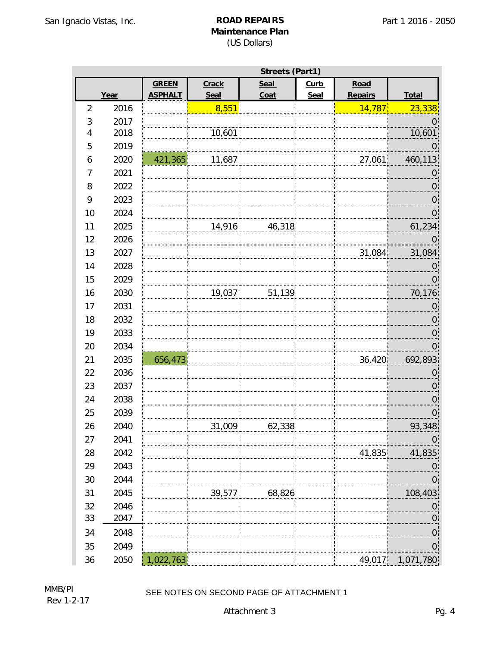## **Maintenance Plan**  (US Dollars)

|                | Streets (Part1) |                |        |        |             |                |                  |  |  |
|----------------|-----------------|----------------|--------|--------|-------------|----------------|------------------|--|--|
|                |                 | <b>GREEN</b>   | Crack  | Seal   | <b>Curb</b> | Road           |                  |  |  |
|                | Year            | <b>ASPHALT</b> | Seal   | Coat   | Seal        | <b>Repairs</b> | <b>Total</b>     |  |  |
| $\overline{2}$ | 2016            |                | 8,551  |        |             | 14,787         | 23,338           |  |  |
| 3              | 2017            |                |        |        |             |                | $\overline{0}$   |  |  |
| 4              | 2018            |                | 10,601 |        |             |                | 10,601           |  |  |
| 5              | 2019            |                |        |        |             |                | $\overline{0}$   |  |  |
| 6              | 2020            | 421,365        | 11,687 |        |             | 27,061         | 460,113          |  |  |
| 7              | 2021            |                |        |        |             |                | $\overline{0}$   |  |  |
| 8              | 2022            |                |        |        |             |                | $\overline{0}$   |  |  |
| 9              | 2023            |                |        |        |             |                | $\overline{0}$   |  |  |
| 10             | 2024            |                |        |        |             |                | $\mathbf{0}$     |  |  |
| 11             | 2025            |                | 14,916 | 46,318 |             |                | 61,234           |  |  |
| 12             | 2026            |                |        |        |             |                | $\mathbf{0}$     |  |  |
| 13             | 2027            |                |        |        |             | 31,084         | 31,084           |  |  |
| 14             | 2028            |                |        |        |             |                | $\overline{0}$   |  |  |
| 15             | 2029            |                |        |        |             |                | $\boldsymbol{0}$ |  |  |
| 16             | 2030            |                | 19,037 | 51,139 |             |                | 70,176           |  |  |
| 17             | 2031            |                |        |        |             |                | $\overline{0}$   |  |  |
| 18             | 2032            |                |        |        |             |                | $\overline{0}$   |  |  |
| 19             | 2033            |                |        |        |             |                | $\overline{0}$   |  |  |
| 20             | 2034            |                |        |        |             |                | $\boldsymbol{0}$ |  |  |
| 21             | 2035            | 656,473        |        |        |             | 36,420         | 692,893          |  |  |
| 22             | 2036            |                |        |        |             |                | $\boldsymbol{0}$ |  |  |
| 23             | 2037            |                |        |        |             |                | $\overline{0}$   |  |  |
| 24             | 2038            |                |        |        |             |                | $\overline{0}$   |  |  |
| 25             | 2039            |                |        |        |             |                | $\overline{0}$   |  |  |
| 26             | 2040            |                | 31,009 | 62,338 |             |                | 93,348           |  |  |
| 27             | 2041            |                |        |        |             |                | $\overline{0}$   |  |  |
| 28             | 2042            |                |        |        |             | 41,835         | 41,835           |  |  |
| 29             | 2043            |                |        |        |             |                | 0                |  |  |
| 30             | 2044            |                |        |        |             |                | 0                |  |  |
| 31             | 2045            |                | 39,577 | 68,826 |             |                | 108,403          |  |  |
| 32             | 2046            |                |        |        |             |                | 0                |  |  |
| 33             | 2047            |                |        |        |             |                | 0                |  |  |
| 34             | 2048            |                |        |        |             |                | $\overline{0}$   |  |  |
| 35             | 2049            |                |        |        |             |                | $\overline{0}$   |  |  |
| 36             | 2050            | 1,022,763      |        |        |             | 49,017         | 1,071,780        |  |  |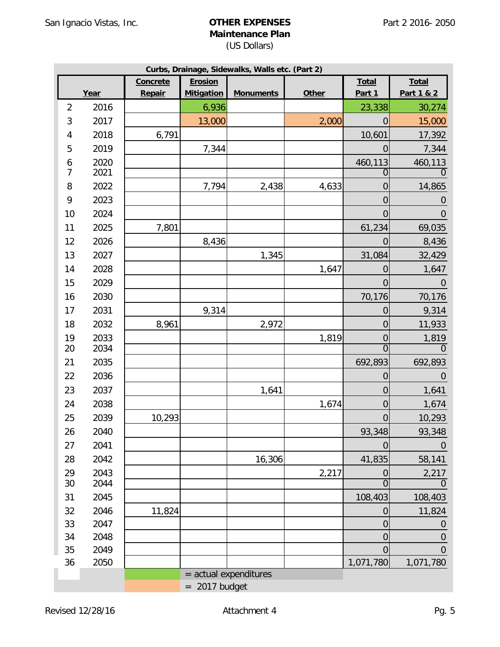## **Maintenance Plan**  (US Dollars)

| Curbs, Drainage, Sidewalks, Walls etc. (Part 2) |              |          |                    |                       |              |                           |                           |  |  |
|-------------------------------------------------|--------------|----------|--------------------|-----------------------|--------------|---------------------------|---------------------------|--|--|
|                                                 |              | Concrete | <b>Erosion</b>     |                       |              | <b>Total</b>              | <b>Total</b>              |  |  |
|                                                 | Year         | Repair   | <b>Mitigation</b>  | <b>Monuments</b>      | <b>Other</b> | Part 1                    | Part 1 & 2                |  |  |
| $\overline{2}$                                  | 2016         |          | 6,936              |                       |              | 23,338                    | 30,274                    |  |  |
| $\sqrt{3}$                                      | 2017         |          | 13,000             |                       | 2,000        | $\Omega$                  | 15,000                    |  |  |
| 4                                               | 2018         | 6,791    |                    |                       |              | 10,601                    | 17,392                    |  |  |
| 5                                               | 2019         |          | 7,344              |                       |              | $\Omega$                  | 7,344                     |  |  |
| 6<br>$\overline{7}$                             | 2020<br>2021 |          |                    |                       |              | 460,113<br>$\overline{0}$ | 460,113<br>$\overline{0}$ |  |  |
| 8                                               | 2022         |          | 7,794              | 2,438                 | 4,633        | $\mathbf 0$               | 14,865                    |  |  |
| 9                                               | 2023         |          |                    |                       |              | $\mathbf 0$               | $\mathbf 0$               |  |  |
| 10                                              | 2024         |          |                    |                       |              | $\overline{0}$            | $\mathbf 0$               |  |  |
| 11                                              | 2025         | 7,801    |                    |                       |              | 61,234                    | 69,035                    |  |  |
| 12                                              | 2026         |          | 8,436              |                       |              | $\overline{0}$            | 8,436                     |  |  |
| 13                                              | 2027         |          |                    | 1,345                 |              | 31,084                    | 32,429                    |  |  |
| 14                                              | 2028         |          |                    |                       | 1,647        | $\mathbf 0$               | 1,647                     |  |  |
| 15                                              | 2029         |          |                    |                       |              | $\overline{0}$            | $\theta$                  |  |  |
| 16                                              | 2030         |          |                    |                       |              | 70,176                    | 70,176                    |  |  |
| 17                                              | 2031         |          | 9,314              |                       |              | $\mathbf 0$               | 9,314                     |  |  |
| 18                                              | 2032         | 8,961    |                    | 2,972                 |              | $\mathbf 0$               | 11,933                    |  |  |
| 19                                              | 2033         |          |                    |                       | 1,819        | $\mathbf 0$               | 1,819                     |  |  |
| 20                                              | 2034         |          |                    |                       |              | $\overline{0}$            | $\overline{0}$            |  |  |
| 21                                              | 2035         |          |                    |                       |              | 692,893                   | 692,893                   |  |  |
| 22                                              | 2036         |          |                    |                       |              | $\mathbf 0$               | $\boldsymbol{0}$          |  |  |
| 23                                              | 2037         |          |                    | 1,641                 |              | $\overline{0}$            | 1,641                     |  |  |
| 24                                              | 2038         |          |                    |                       | 1,674        | $\mathbf 0$               | 1,674                     |  |  |
| 25                                              | 2039         | 10,293   |                    |                       |              | $\mathbf 0$               | 10,293                    |  |  |
| 26                                              | 2040         |          |                    |                       |              | 93,348                    | 93,348                    |  |  |
| 27                                              | 2041         |          |                    |                       |              | $\overline{0}$            | $\theta$                  |  |  |
| 28                                              | 2042         |          |                    | 16,306                |              | 41,835                    | 58,141                    |  |  |
| 29                                              | 2043         |          |                    |                       | 2,217        | $\mathbf 0$               | 2,217                     |  |  |
| 30                                              | 2044         |          |                    |                       |              | $\overline{0}$            | $\Omega$                  |  |  |
| 31                                              | 2045         |          |                    |                       |              | 108,403                   | 108,403                   |  |  |
| 32                                              | 2046         | 11,824   |                    |                       |              | $\mathbf 0$               | 11,824                    |  |  |
| 33                                              | 2047         |          |                    |                       |              | $\mathbf 0$               | $\mathbf 0$               |  |  |
| 34                                              | 2048         |          |                    |                       |              | $\mathbf 0$               | $\boldsymbol{0}$          |  |  |
| 35                                              | 2049         |          |                    |                       |              | $\overline{0}$            | $\overline{0}$            |  |  |
| 36                                              | 2050         |          |                    | = actual expenditures |              | 1,071,780                 | 1,071,780                 |  |  |
|                                                 |              |          | 2017 budget<br>$=$ |                       |              |                           |                           |  |  |